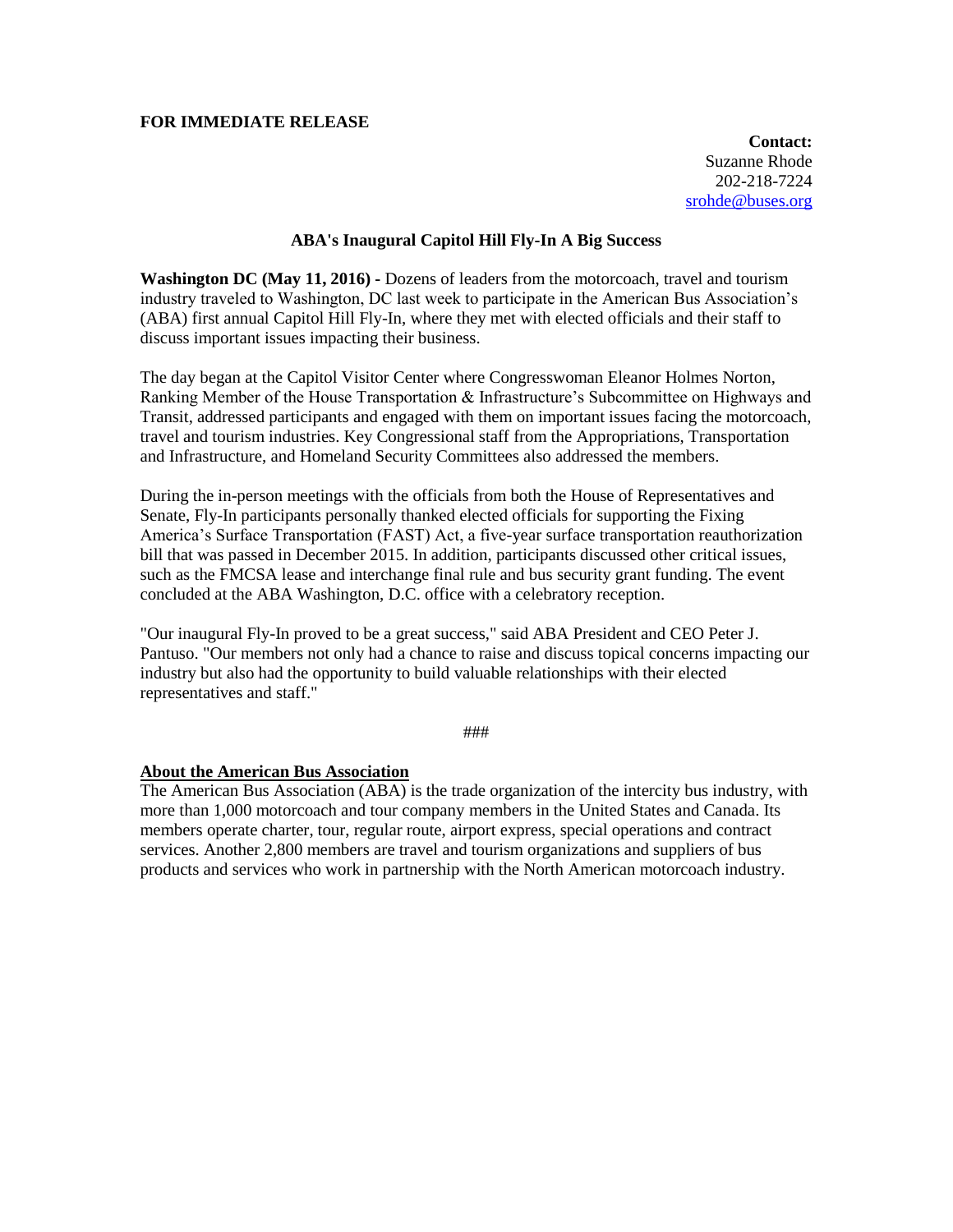## **FOR IMMEDIATE RELEASE**

**Contact:** Suzanne Rhode 202-218-7224 [srohde@buses.org](mailto:srohde@buses.org)

## **ABA's Inaugural Capitol Hill Fly-In A Big Success**

**Washington DC (May 11, 2016) -** Dozens of leaders from the motorcoach, travel and tourism industry traveled to Washington, DC last week to participate in the American Bus Association's (ABA) first annual Capitol Hill Fly-In, where they met with elected officials and their staff to discuss important issues impacting their business.

The day began at the Capitol Visitor Center where Congresswoman Eleanor Holmes Norton, Ranking Member of the House Transportation & Infrastructure's Subcommittee on Highways and Transit, addressed participants and engaged with them on important issues facing the motorcoach, travel and tourism industries. Key Congressional staff from the Appropriations, Transportation and Infrastructure, and Homeland Security Committees also addressed the members.

During the in-person meetings with the officials from both the House of Representatives and Senate, Fly-In participants personally thanked elected officials for supporting the Fixing America's Surface Transportation (FAST) Act, a five-year surface transportation reauthorization bill that was passed in December 2015. In addition, participants discussed other critical issues, such as the FMCSA lease and interchange final rule and bus security grant funding. The event concluded at the ABA Washington, D.C. office with a celebratory reception.

"Our inaugural Fly-In proved to be a great success," said ABA President and CEO Peter J. Pantuso. "Our members not only had a chance to raise and discuss topical concerns impacting our industry but also had the opportunity to build valuable relationships with their elected representatives and staff."

###

## **About the American Bus Association**

The American Bus Association (ABA) is the trade organization of the intercity bus industry, with more than 1,000 motorcoach and tour company members in the United States and Canada. Its members operate charter, tour, regular route, airport express, special operations and contract services. Another 2,800 members are travel and tourism organizations and suppliers of bus products and services who work in partnership with the North American motorcoach industry.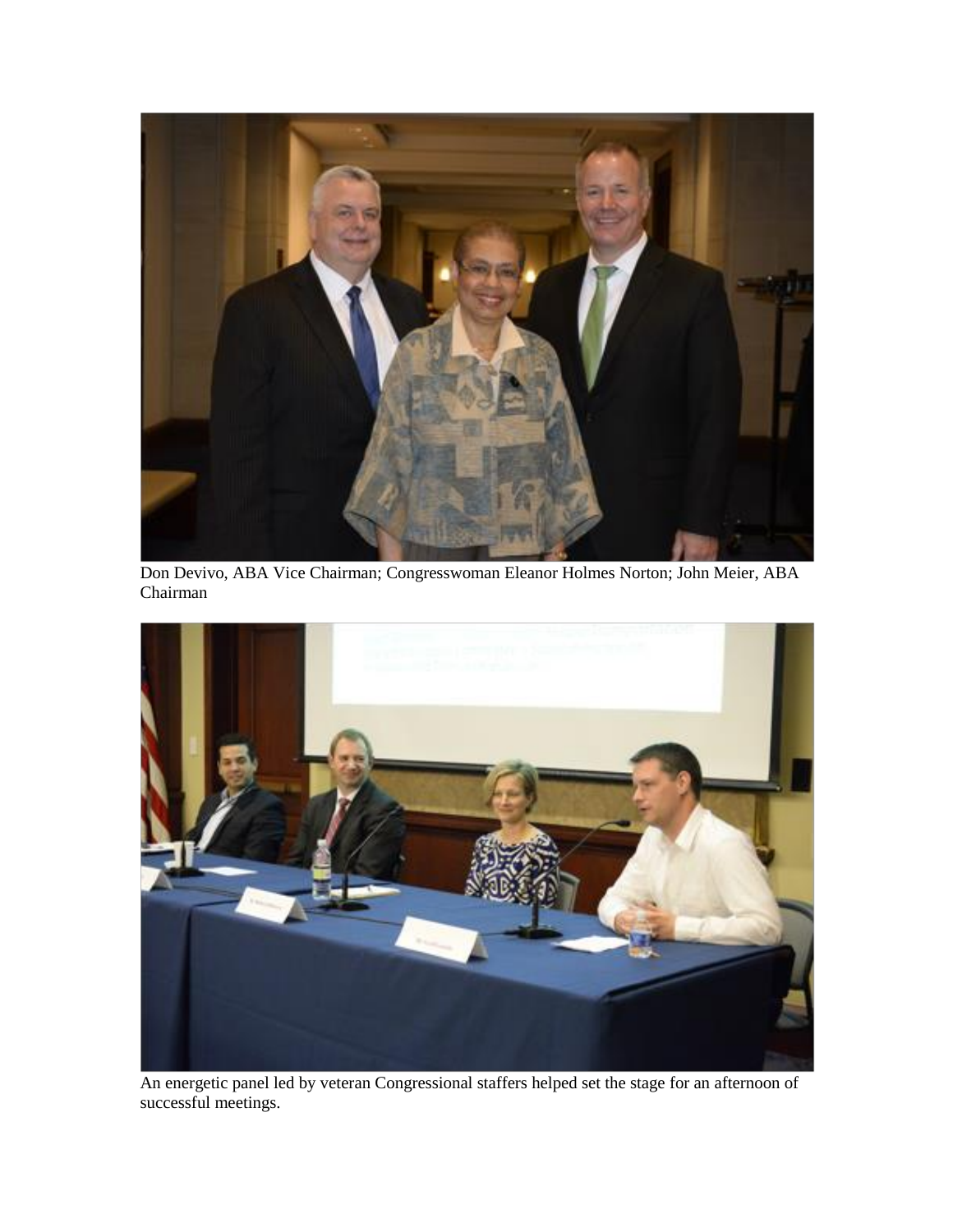

Don Devivo, ABA Vice Chairman; Congresswoman Eleanor Holmes Norton; John Meier, ABA Chairman



An energetic panel led by veteran Congressional staffers helped set the stage for an afternoon of successful meetings.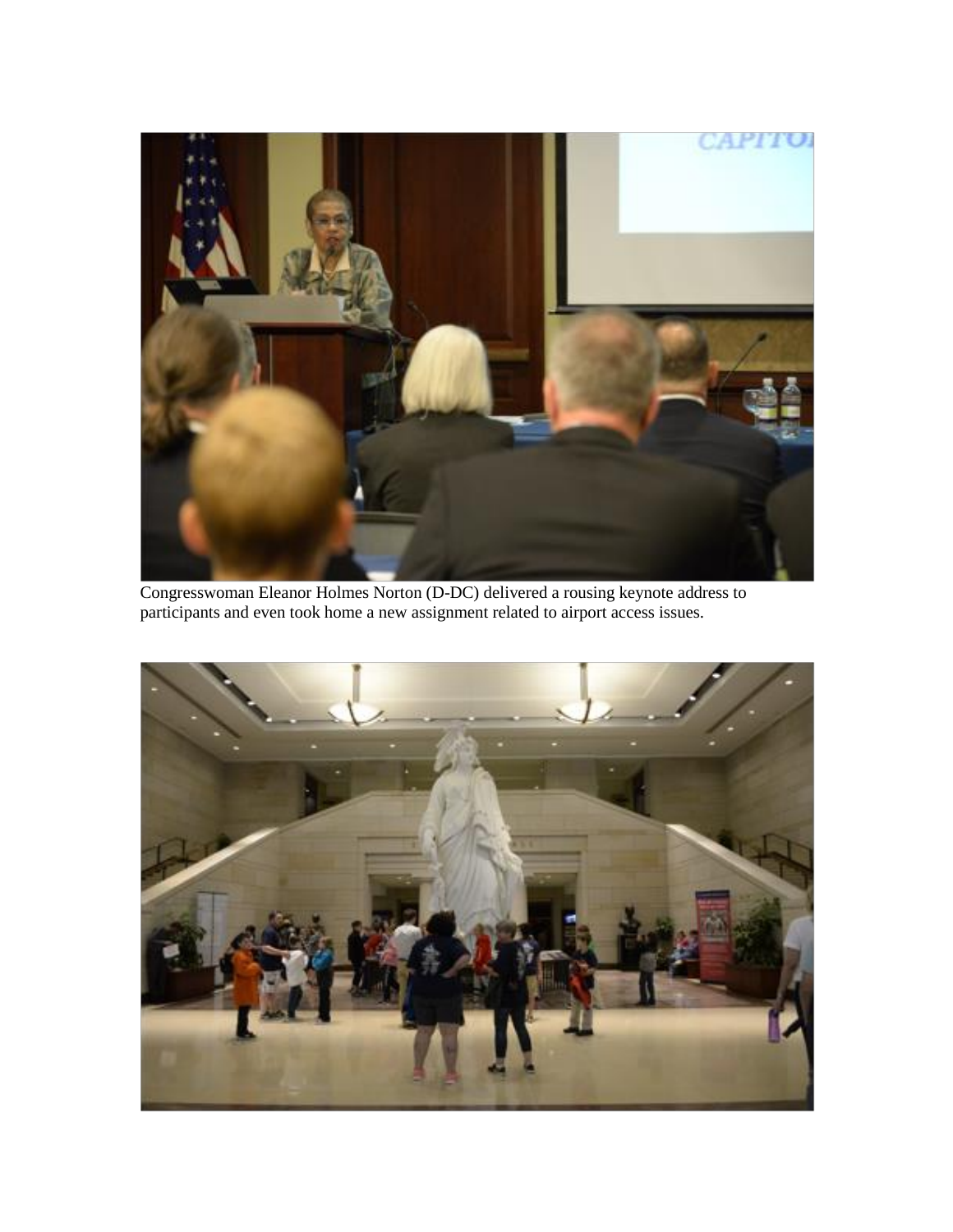

Congresswoman Eleanor Holmes Norton (D-DC) delivered a rousing keynote address to participants and even took home a new assignment related to airport access issues.

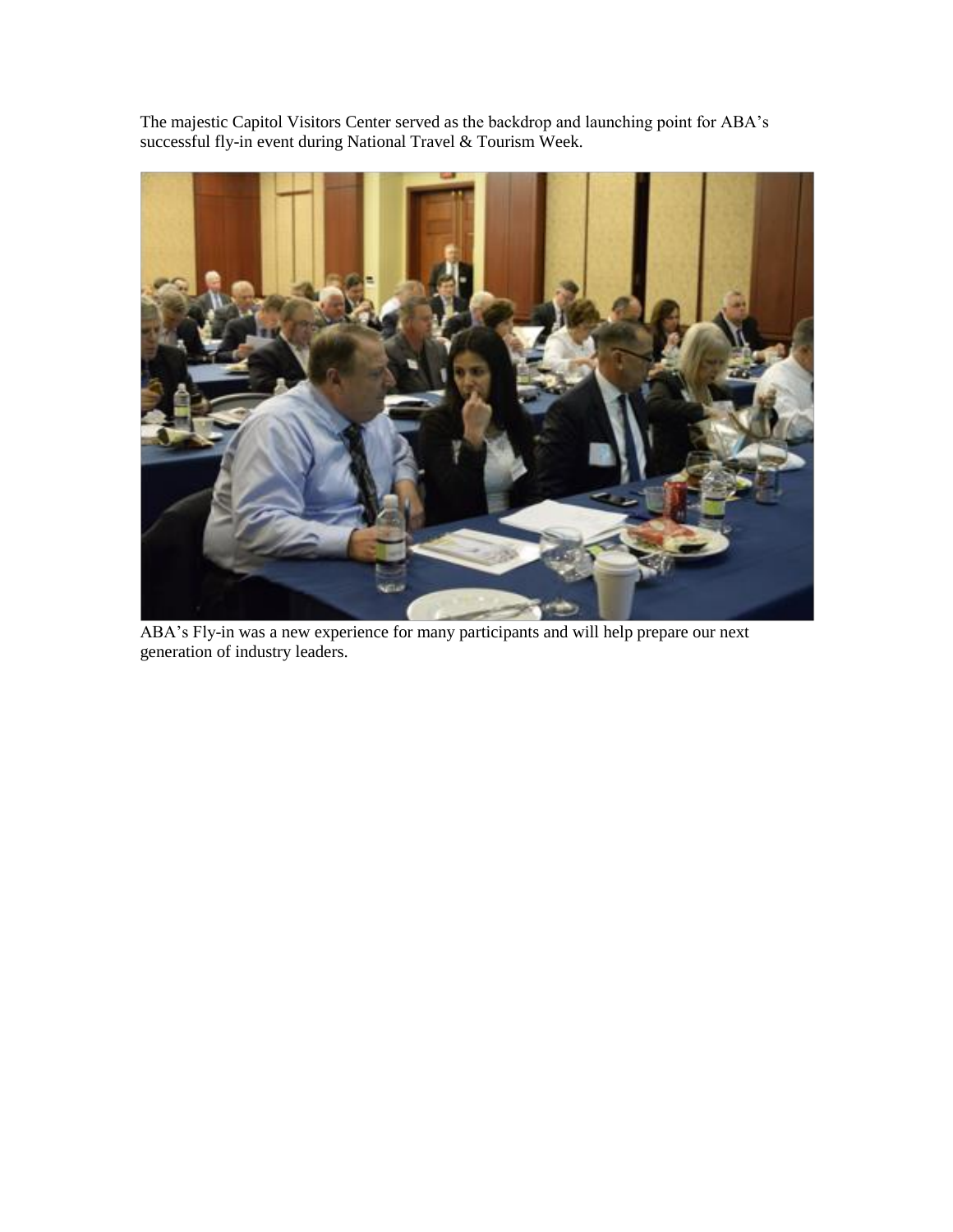The majestic Capitol Visitors Center served as the backdrop and launching point for ABA's successful fly-in event during National Travel & Tourism Week.



ABA's Fly-in was a new experience for many participants and will help prepare our next generation of industry leaders.